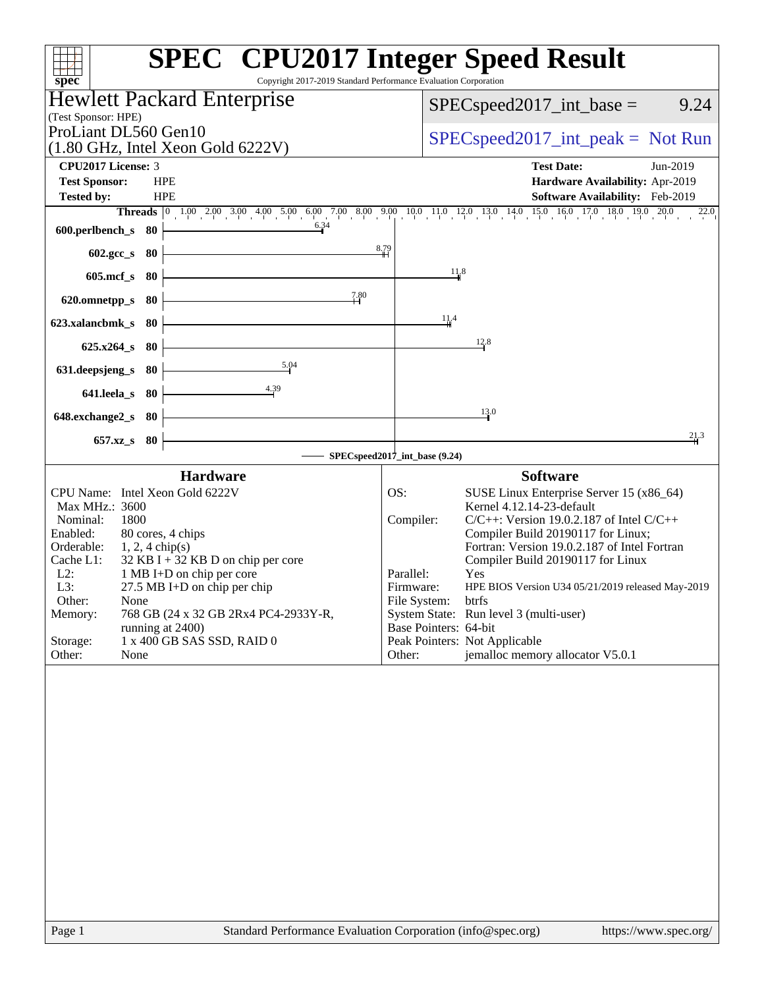| Copyright 2017-2019 Standard Performance Evaluation Corporation<br>spec                                                                                                                                                                                                                                                                                                                                                           | <b>SPEC<sup>®</sup></b> CPU2017 Integer Speed Result                                                                                                                                                                                                                                                                                                                                                                                                                                                                                   |
|-----------------------------------------------------------------------------------------------------------------------------------------------------------------------------------------------------------------------------------------------------------------------------------------------------------------------------------------------------------------------------------------------------------------------------------|----------------------------------------------------------------------------------------------------------------------------------------------------------------------------------------------------------------------------------------------------------------------------------------------------------------------------------------------------------------------------------------------------------------------------------------------------------------------------------------------------------------------------------------|
| <b>Hewlett Packard Enterprise</b>                                                                                                                                                                                                                                                                                                                                                                                                 | 9.24<br>$SPEC speed2017\_int\_base =$                                                                                                                                                                                                                                                                                                                                                                                                                                                                                                  |
| (Test Sponsor: HPE)<br>ProLiant DL560 Gen10                                                                                                                                                                                                                                                                                                                                                                                       |                                                                                                                                                                                                                                                                                                                                                                                                                                                                                                                                        |
| $(1.80 \text{ GHz}, \text{Intel Xeon Gold } 6222 \text{V})$                                                                                                                                                                                                                                                                                                                                                                       | $SPEC speed2017\_int\_peak = Not Run$                                                                                                                                                                                                                                                                                                                                                                                                                                                                                                  |
| <b>CPU2017 License: 3</b>                                                                                                                                                                                                                                                                                                                                                                                                         | <b>Test Date:</b><br>Jun-2019                                                                                                                                                                                                                                                                                                                                                                                                                                                                                                          |
| <b>Test Sponsor:</b><br><b>HPE</b>                                                                                                                                                                                                                                                                                                                                                                                                | Hardware Availability: Apr-2019                                                                                                                                                                                                                                                                                                                                                                                                                                                                                                        |
| <b>Tested by:</b><br><b>HPE</b>                                                                                                                                                                                                                                                                                                                                                                                                   | Software Availability: Feb-2019<br><b>Threads</b> $\begin{bmatrix} 0 & 1.00 & 2.00 & 3.00 & 4.00 & 5.00 & 6.00 & 7.00 & 8.00 & 9.00 & 11.0 & 12.0 & 13.0 & 14.0 & 15.0 & 16.0 & 17.0 & 18.0 & 19.0 & 20.0 \end{bmatrix}$<br>22.0                                                                                                                                                                                                                                                                                                       |
| 6.34<br>600.perlbench_s 80                                                                                                                                                                                                                                                                                                                                                                                                        |                                                                                                                                                                                                                                                                                                                                                                                                                                                                                                                                        |
| 602.gcc_s 80                                                                                                                                                                                                                                                                                                                                                                                                                      | 8.79                                                                                                                                                                                                                                                                                                                                                                                                                                                                                                                                   |
| $605$ .mcf_s<br>- 80                                                                                                                                                                                                                                                                                                                                                                                                              | 11.8                                                                                                                                                                                                                                                                                                                                                                                                                                                                                                                                   |
| 7.80<br>620.omnetpp_s 80                                                                                                                                                                                                                                                                                                                                                                                                          |                                                                                                                                                                                                                                                                                                                                                                                                                                                                                                                                        |
| 623.xalancbmk_s<br>- 80                                                                                                                                                                                                                                                                                                                                                                                                           | 11,4                                                                                                                                                                                                                                                                                                                                                                                                                                                                                                                                   |
| $625.x264_s$ 80                                                                                                                                                                                                                                                                                                                                                                                                                   | 12.8                                                                                                                                                                                                                                                                                                                                                                                                                                                                                                                                   |
| 5.04<br>631.deepsjeng_s<br>80                                                                                                                                                                                                                                                                                                                                                                                                     |                                                                                                                                                                                                                                                                                                                                                                                                                                                                                                                                        |
| $\frac{4.39}{1}$<br>641.leela s 80                                                                                                                                                                                                                                                                                                                                                                                                |                                                                                                                                                                                                                                                                                                                                                                                                                                                                                                                                        |
|                                                                                                                                                                                                                                                                                                                                                                                                                                   | 13.0                                                                                                                                                                                                                                                                                                                                                                                                                                                                                                                                   |
| 648.exchange2_s 80                                                                                                                                                                                                                                                                                                                                                                                                                | 21.3                                                                                                                                                                                                                                                                                                                                                                                                                                                                                                                                   |
| 657.xz_s 80                                                                                                                                                                                                                                                                                                                                                                                                                       | SPECspeed2017_int_base (9.24)                                                                                                                                                                                                                                                                                                                                                                                                                                                                                                          |
| <b>Hardware</b>                                                                                                                                                                                                                                                                                                                                                                                                                   | <b>Software</b>                                                                                                                                                                                                                                                                                                                                                                                                                                                                                                                        |
| CPU Name: Intel Xeon Gold 6222V<br>Max MHz.: 3600<br>1800<br>Nominal:<br>Enabled:<br>80 cores, 4 chips<br>Orderable:<br>$1, 2, 4$ chip(s)<br>$32$ KB I + 32 KB D on chip per core<br>Cache L1:<br>$L2$ :<br>1 MB I+D on chip per core<br>L3:<br>27.5 MB I+D on chip per chip<br>Other:<br>None<br>Memory:<br>768 GB (24 x 32 GB 2Rx4 PC4-2933Y-R,<br>running at 2400)<br>1 x 400 GB SAS SSD, RAID 0<br>Storage:<br>Other:<br>None | OS:<br>SUSE Linux Enterprise Server 15 (x86_64)<br>Kernel 4.12.14-23-default<br>$C/C++$ : Version 19.0.2.187 of Intel $C/C++$<br>Compiler:<br>Compiler Build 20190117 for Linux;<br>Fortran: Version 19.0.2.187 of Intel Fortran<br>Compiler Build 20190117 for Linux<br>Parallel:<br>Yes<br>Firmware:<br>HPE BIOS Version U34 05/21/2019 released May-2019<br>File System:<br>btrfs<br>System State: Run level 3 (multi-user)<br>Base Pointers: 64-bit<br>Peak Pointers: Not Applicable<br>jemalloc memory allocator V5.0.1<br>Other: |
|                                                                                                                                                                                                                                                                                                                                                                                                                                   |                                                                                                                                                                                                                                                                                                                                                                                                                                                                                                                                        |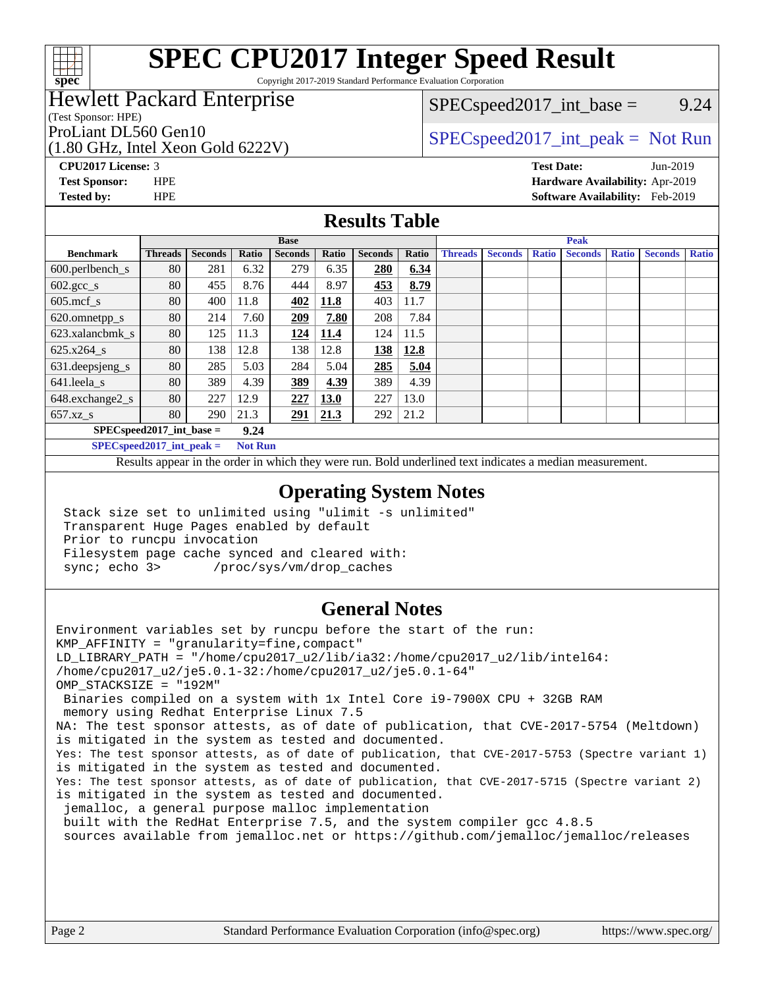

Copyright 2017-2019 Standard Performance Evaluation Corporation

# Hewlett Packard Enterprise

(Test Sponsor: HPE)

(1.80 GHz, Intel Xeon Gold 6222V)

 $SPEC speed2017\_int\_base =$  9.24

# ProLiant DL560 Gen10  $SPEC speed2017\_int\_peak = Not Run$

**[CPU2017 License:](http://www.spec.org/auto/cpu2017/Docs/result-fields.html#CPU2017License)** 3 **[Test Date:](http://www.spec.org/auto/cpu2017/Docs/result-fields.html#TestDate)** Jun-2019 **[Test Sponsor:](http://www.spec.org/auto/cpu2017/Docs/result-fields.html#TestSponsor)** HPE **[Hardware Availability:](http://www.spec.org/auto/cpu2017/Docs/result-fields.html#HardwareAvailability)** Apr-2019 **[Tested by:](http://www.spec.org/auto/cpu2017/Docs/result-fields.html#Testedby)** HPE **[Software Availability:](http://www.spec.org/auto/cpu2017/Docs/result-fields.html#SoftwareAvailability)** Feb-2019

### **[Results Table](http://www.spec.org/auto/cpu2017/Docs/result-fields.html#ResultsTable)**

|                                      | <b>Base</b>    |                |       |                |             | <b>Peak</b>    |       |                |                |              |                |              |                |              |
|--------------------------------------|----------------|----------------|-------|----------------|-------------|----------------|-------|----------------|----------------|--------------|----------------|--------------|----------------|--------------|
| <b>Benchmark</b>                     | <b>Threads</b> | <b>Seconds</b> | Ratio | <b>Seconds</b> | Ratio       | <b>Seconds</b> | Ratio | <b>Threads</b> | <b>Seconds</b> | <b>Ratio</b> | <b>Seconds</b> | <b>Ratio</b> | <b>Seconds</b> | <b>Ratio</b> |
| $600.$ perlbench_s                   | 80             | 281            | 6.32  | 279            | 6.35        | 280            | 6.34  |                |                |              |                |              |                |              |
| $602.\text{gcc}\sspace_{\text{-}S}$  | 80             | 455            | 8.76  | 444            | 8.97        | 453            | 8.79  |                |                |              |                |              |                |              |
| $605$ .mcf s                         | 80             | 400            | 11.8  | 402            | 11.8        | 403            | 11.7  |                |                |              |                |              |                |              |
| 620.omnetpp_s                        | 80             | 214            | 7.60  | 209            | 7.80        | 208            | 7.84  |                |                |              |                |              |                |              |
| 623.xalancbmk s                      | 80             | 125            | 11.3  | 124            | 11.4        | 124            | 11.5  |                |                |              |                |              |                |              |
| 625.x264 s                           | 80             | 138            | 12.8  | 138            | 12.8        | 138            | 12.8  |                |                |              |                |              |                |              |
| 631.deepsjeng_s                      | 80             | 285            | 5.03  | 284            | 5.04        | 285            | 5.04  |                |                |              |                |              |                |              |
| $641$ .leela_s                       | 80             | 389            | 4.39  | 389            | 4.39        | 389            | 4.39  |                |                |              |                |              |                |              |
| 648.exchange2_s                      | 80             | 227            | 12.9  | 227            | <b>13.0</b> | 227            | 13.0  |                |                |              |                |              |                |              |
| $657.xz$ s                           | 80             | 290            | 21.3  | 291            | 21.3        | 292            | 21.2  |                |                |              |                |              |                |              |
| $SPECspeed2017\_int\_base =$<br>9.24 |                |                |       |                |             |                |       |                |                |              |                |              |                |              |

**[SPECspeed2017\\_int\\_peak =](http://www.spec.org/auto/cpu2017/Docs/result-fields.html#SPECspeed2017intpeak) Not Run**

Results appear in the [order in which they were run.](http://www.spec.org/auto/cpu2017/Docs/result-fields.html#RunOrder) Bold underlined text [indicates a median measurement.](http://www.spec.org/auto/cpu2017/Docs/result-fields.html#Median)

#### **[Operating System Notes](http://www.spec.org/auto/cpu2017/Docs/result-fields.html#OperatingSystemNotes)**

 Stack size set to unlimited using "ulimit -s unlimited" Transparent Huge Pages enabled by default Prior to runcpu invocation Filesystem page cache synced and cleared with: sync; echo 3> /proc/sys/vm/drop\_caches

### **[General Notes](http://www.spec.org/auto/cpu2017/Docs/result-fields.html#GeneralNotes)**

Environment variables set by runcpu before the start of the run: KMP\_AFFINITY = "granularity=fine,compact" LD\_LIBRARY\_PATH = "/home/cpu2017\_u2/lib/ia32:/home/cpu2017\_u2/lib/intel64: /home/cpu2017\_u2/je5.0.1-32:/home/cpu2017\_u2/je5.0.1-64" OMP\_STACKSIZE = "192M" Binaries compiled on a system with 1x Intel Core i9-7900X CPU + 32GB RAM memory using Redhat Enterprise Linux 7.5 NA: The test sponsor attests, as of date of publication, that CVE-2017-5754 (Meltdown) is mitigated in the system as tested and documented. Yes: The test sponsor attests, as of date of publication, that CVE-2017-5753 (Spectre variant 1) is mitigated in the system as tested and documented. Yes: The test sponsor attests, as of date of publication, that CVE-2017-5715 (Spectre variant 2) is mitigated in the system as tested and documented. jemalloc, a general purpose malloc implementation built with the RedHat Enterprise 7.5, and the system compiler gcc 4.8.5 sources available from jemalloc.net or<https://github.com/jemalloc/jemalloc/releases>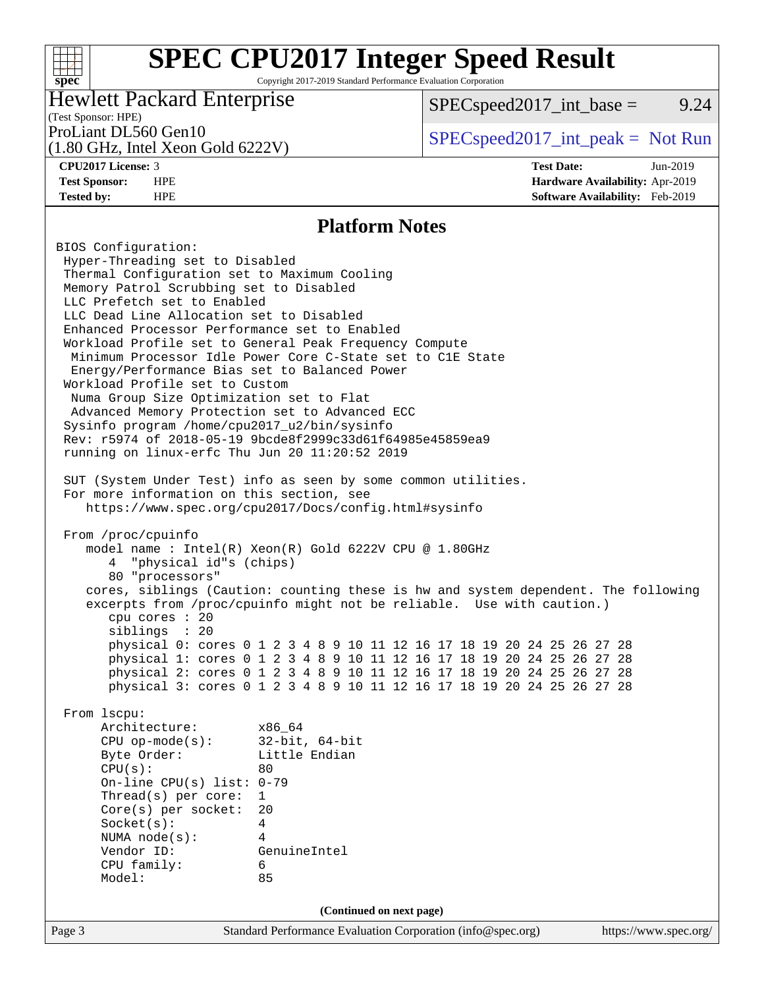## **[SPEC CPU2017 Integer Speed Result](http://www.spec.org/auto/cpu2017/Docs/result-fields.html#SPECCPU2017IntegerSpeedResult)** Copyright 2017-2019 Standard Performance Evaluation Corporation

## Hewlett Packard Enterprise

 $SPEC speed2017\_int\_base =$  9.24

#### (Test Sponsor: HPE)

(1.80 GHz, Intel Xeon Gold 6222V)

ProLiant DL560 Gen10  $SPEC speed2017\_int\_peak = Not Run$ 

**[spec](http://www.spec.org/)**

 $+\hskip -1.5pt +\hskip -1.5pt +$ 

**[CPU2017 License:](http://www.spec.org/auto/cpu2017/Docs/result-fields.html#CPU2017License)** 3 **[Test Date:](http://www.spec.org/auto/cpu2017/Docs/result-fields.html#TestDate)** Jun-2019 **[Test Sponsor:](http://www.spec.org/auto/cpu2017/Docs/result-fields.html#TestSponsor)** HPE **[Hardware Availability:](http://www.spec.org/auto/cpu2017/Docs/result-fields.html#HardwareAvailability)** Apr-2019 **[Tested by:](http://www.spec.org/auto/cpu2017/Docs/result-fields.html#Testedby)** HPE **[Software Availability:](http://www.spec.org/auto/cpu2017/Docs/result-fields.html#SoftwareAvailability)** Feb-2019

### **[Platform Notes](http://www.spec.org/auto/cpu2017/Docs/result-fields.html#PlatformNotes)**

Page 3 Standard Performance Evaluation Corporation [\(info@spec.org\)](mailto:info@spec.org) <https://www.spec.org/> BIOS Configuration: Hyper-Threading set to Disabled Thermal Configuration set to Maximum Cooling Memory Patrol Scrubbing set to Disabled LLC Prefetch set to Enabled LLC Dead Line Allocation set to Disabled Enhanced Processor Performance set to Enabled Workload Profile set to General Peak Frequency Compute Minimum Processor Idle Power Core C-State set to C1E State Energy/Performance Bias set to Balanced Power Workload Profile set to Custom Numa Group Size Optimization set to Flat Advanced Memory Protection set to Advanced ECC Sysinfo program /home/cpu2017\_u2/bin/sysinfo Rev: r5974 of 2018-05-19 9bcde8f2999c33d61f64985e45859ea9 running on linux-erfc Thu Jun 20 11:20:52 2019 SUT (System Under Test) info as seen by some common utilities. For more information on this section, see <https://www.spec.org/cpu2017/Docs/config.html#sysinfo> From /proc/cpuinfo model name : Intel(R) Xeon(R) Gold 6222V CPU @ 1.80GHz 4 "physical id"s (chips) 80 "processors" cores, siblings (Caution: counting these is hw and system dependent. The following excerpts from /proc/cpuinfo might not be reliable. Use with caution.) cpu cores : 20 siblings : 20 physical 0: cores 0 1 2 3 4 8 9 10 11 12 16 17 18 19 20 24 25 26 27 28 physical 1: cores 0 1 2 3 4 8 9 10 11 12 16 17 18 19 20 24 25 26 27 28 physical 2: cores 0 1 2 3 4 8 9 10 11 12 16 17 18 19 20 24 25 26 27 28 physical 3: cores 0 1 2 3 4 8 9 10 11 12 16 17 18 19 20 24 25 26 27 28 From lscpu: Architecture: x86\_64 CPU op-mode(s): 32-bit, 64-bit Byte Order: Little Endian  $CPU(s):$  80 On-line CPU(s) list: 0-79 Thread(s) per core: 1 Core(s) per socket: 20 Socket(s): 4 NUMA node(s): 4 Vendor ID: GenuineIntel CPU family: 6 Model: 85 **(Continued on next page)**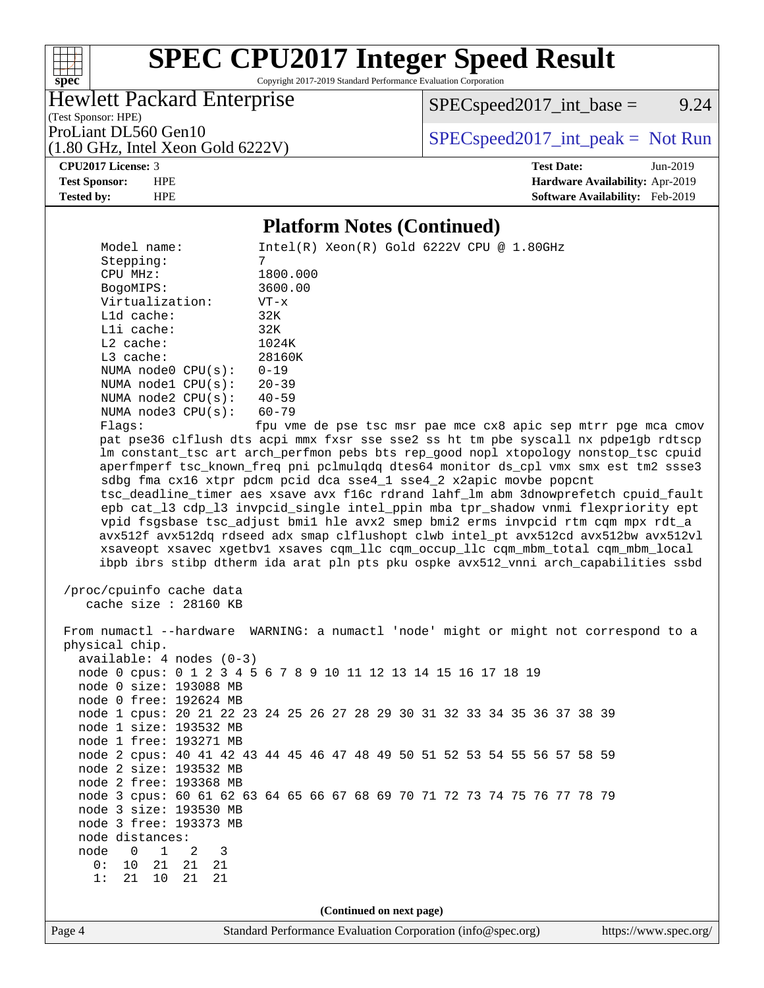

Copyright 2017-2019 Standard Performance Evaluation Corporation

## Hewlett Packard Enterprise

 $SPEC speed2017\_int\_base =$  9.24

(Test Sponsor: HPE) (1.80 GHz, Intel Xeon Gold 6222V)

ProLiant DL560 Gen10  $SPEC speed2017\_int\_peak = Not Run$ 

#### **[CPU2017 License:](http://www.spec.org/auto/cpu2017/Docs/result-fields.html#CPU2017License)** 3 **[Test Date:](http://www.spec.org/auto/cpu2017/Docs/result-fields.html#TestDate)** Jun-2019 **[Test Sponsor:](http://www.spec.org/auto/cpu2017/Docs/result-fields.html#TestSponsor)** HPE **[Hardware Availability:](http://www.spec.org/auto/cpu2017/Docs/result-fields.html#HardwareAvailability)** Apr-2019 **[Tested by:](http://www.spec.org/auto/cpu2017/Docs/result-fields.html#Testedby)** HPE **[Software Availability:](http://www.spec.org/auto/cpu2017/Docs/result-fields.html#SoftwareAvailability)** Feb-2019

#### **[Platform Notes \(Continued\)](http://www.spec.org/auto/cpu2017/Docs/result-fields.html#PlatformNotes)**

Page 4 Standard Performance Evaluation Corporation [\(info@spec.org\)](mailto:info@spec.org) <https://www.spec.org/> Model name: Intel(R) Xeon(R) Gold 6222V CPU @ 1.80GHz Stepping: 7 CPU MHz: 1800.000 BogoMIPS: 3600.00 Virtualization: VT-x L1d cache: 32K L1i cache: 32K L2 cache: 1024K L3 cache: 28160K NUMA node0 CPU(s): 0-19 NUMA node1 CPU(s): 20-39 NUMA node2 CPU(s): 40-59 NUMA node3 CPU(s): 60-79 Flags: fpu vme de pse tsc msr pae mce cx8 apic sep mtrr pge mca cmov pat pse36 clflush dts acpi mmx fxsr sse sse2 ss ht tm pbe syscall nx pdpe1gb rdtscp lm constant\_tsc art arch\_perfmon pebs bts rep\_good nopl xtopology nonstop\_tsc cpuid aperfmperf tsc\_known\_freq pni pclmulqdq dtes64 monitor ds\_cpl vmx smx est tm2 ssse3 sdbg fma cx16 xtpr pdcm pcid dca sse4\_1 sse4\_2 x2apic movbe popcnt tsc\_deadline\_timer aes xsave avx f16c rdrand lahf\_lm abm 3dnowprefetch cpuid\_fault epb cat\_l3 cdp\_l3 invpcid\_single intel\_ppin mba tpr\_shadow vnmi flexpriority ept vpid fsgsbase tsc\_adjust bmi1 hle avx2 smep bmi2 erms invpcid rtm cqm mpx rdt\_a avx512f avx512dq rdseed adx smap clflushopt clwb intel\_pt avx512cd avx512bw avx512vl xsaveopt xsavec xgetbv1 xsaves cqm\_llc cqm\_occup\_llc cqm\_mbm\_total cqm\_mbm\_local ibpb ibrs stibp dtherm ida arat pln pts pku ospke avx512\_vnni arch\_capabilities ssbd /proc/cpuinfo cache data cache size : 28160 KB From numactl --hardware WARNING: a numactl 'node' might or might not correspond to a physical chip. available: 4 nodes (0-3) node 0 cpus: 0 1 2 3 4 5 6 7 8 9 10 11 12 13 14 15 16 17 18 19 node 0 size: 193088 MB node 0 free: 192624 MB node 1 cpus: 20 21 22 23 24 25 26 27 28 29 30 31 32 33 34 35 36 37 38 39 node 1 size: 193532 MB node 1 free: 193271 MB node 2 cpus: 40 41 42 43 44 45 46 47 48 49 50 51 52 53 54 55 56 57 58 59 node 2 size: 193532 MB node 2 free: 193368 MB node 3 cpus: 60 61 62 63 64 65 66 67 68 69 70 71 72 73 74 75 76 77 78 79 node 3 size: 193530 MB node 3 free: 193373 MB node distances: node 0 1 2 3 0: 10 21 21 21 1: 21 10 21 21 **(Continued on next page)**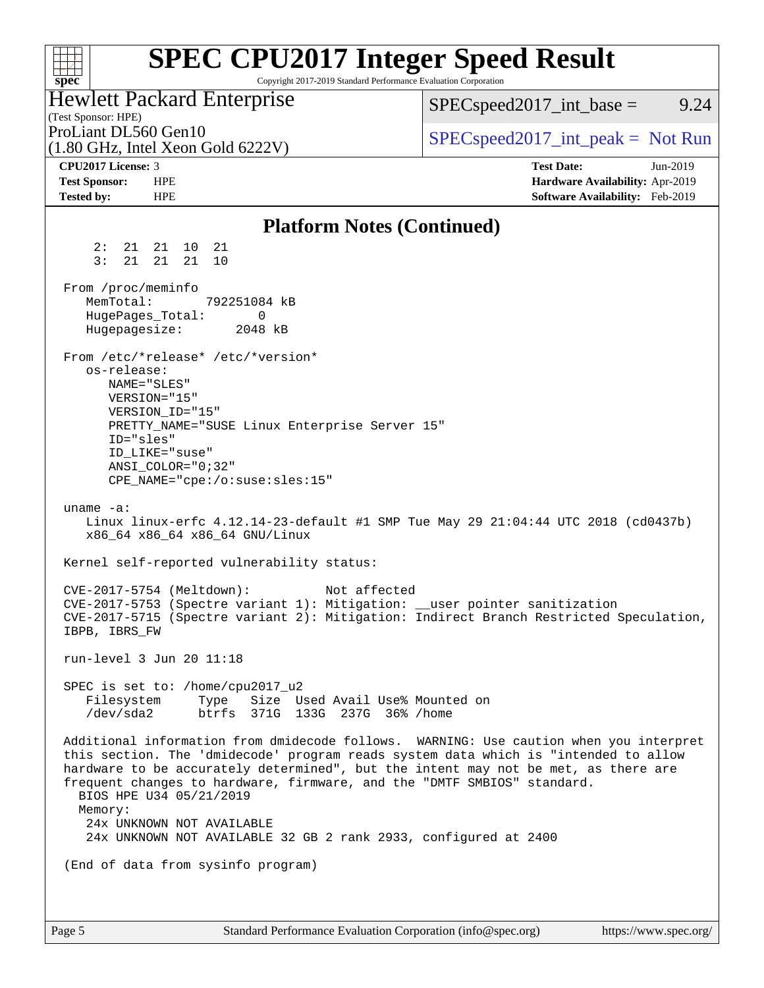#### **[SPEC CPU2017 Integer Speed Result](http://www.spec.org/auto/cpu2017/Docs/result-fields.html#SPECCPU2017IntegerSpeedResult)**  $+\ +$ Copyright 2017-2019 Standard Performance Evaluation Corporation **[spec](http://www.spec.org/)** Hewlett Packard Enterprise  $SPEC speed2017\_int\_base =$  9.24 (Test Sponsor: HPE) ProLiant DL560 Gen10  $SPEC speed2017\_int\_peak = Not Run$ (1.80 GHz, Intel Xeon Gold 6222V) **[CPU2017 License:](http://www.spec.org/auto/cpu2017/Docs/result-fields.html#CPU2017License)** 3 **[Test Date:](http://www.spec.org/auto/cpu2017/Docs/result-fields.html#TestDate)** Jun-2019 **[Test Sponsor:](http://www.spec.org/auto/cpu2017/Docs/result-fields.html#TestSponsor)** HPE **[Hardware Availability:](http://www.spec.org/auto/cpu2017/Docs/result-fields.html#HardwareAvailability)** Apr-2019 **[Tested by:](http://www.spec.org/auto/cpu2017/Docs/result-fields.html#Testedby)** HPE **[Software Availability:](http://www.spec.org/auto/cpu2017/Docs/result-fields.html#SoftwareAvailability)** Feb-2019 **[Platform Notes \(Continued\)](http://www.spec.org/auto/cpu2017/Docs/result-fields.html#PlatformNotes)** 2: 21 21 10 21 3: 21 21 21 10 From /proc/meminfo MemTotal: 792251084 kB HugePages\_Total: 0 Hugepagesize: 2048 kB From /etc/\*release\* /etc/\*version\* os-release: NAME="SLES" VERSION="15" VERSION\_ID="15" PRETTY\_NAME="SUSE Linux Enterprise Server 15" ID="sles" ID\_LIKE="suse" ANSI\_COLOR="0;32" CPE\_NAME="cpe:/o:suse:sles:15" uname -a: Linux linux-erfc 4.12.14-23-default #1 SMP Tue May 29 21:04:44 UTC 2018 (cd0437b) x86\_64 x86\_64 x86\_64 GNU/Linux Kernel self-reported vulnerability status: CVE-2017-5754 (Meltdown): Not affected CVE-2017-5753 (Spectre variant 1): Mitigation: \_\_user pointer sanitization CVE-2017-5715 (Spectre variant 2): Mitigation: Indirect Branch Restricted Speculation, IBPB, IBRS\_FW run-level 3 Jun 20 11:18 SPEC is set to: /home/cpu2017\_u2 Filesystem Type Size Used Avail Use% Mounted on /dev/sda2 btrfs 371G 133G 237G 36% /home Additional information from dmidecode follows. WARNING: Use caution when you interpret this section. The 'dmidecode' program reads system data which is "intended to allow hardware to be accurately determined", but the intent may not be met, as there are frequent changes to hardware, firmware, and the "DMTF SMBIOS" standard. BIOS HPE U34 05/21/2019 Memory: 24x UNKNOWN NOT AVAILABLE 24x UNKNOWN NOT AVAILABLE 32 GB 2 rank 2933, configured at 2400 (End of data from sysinfo program)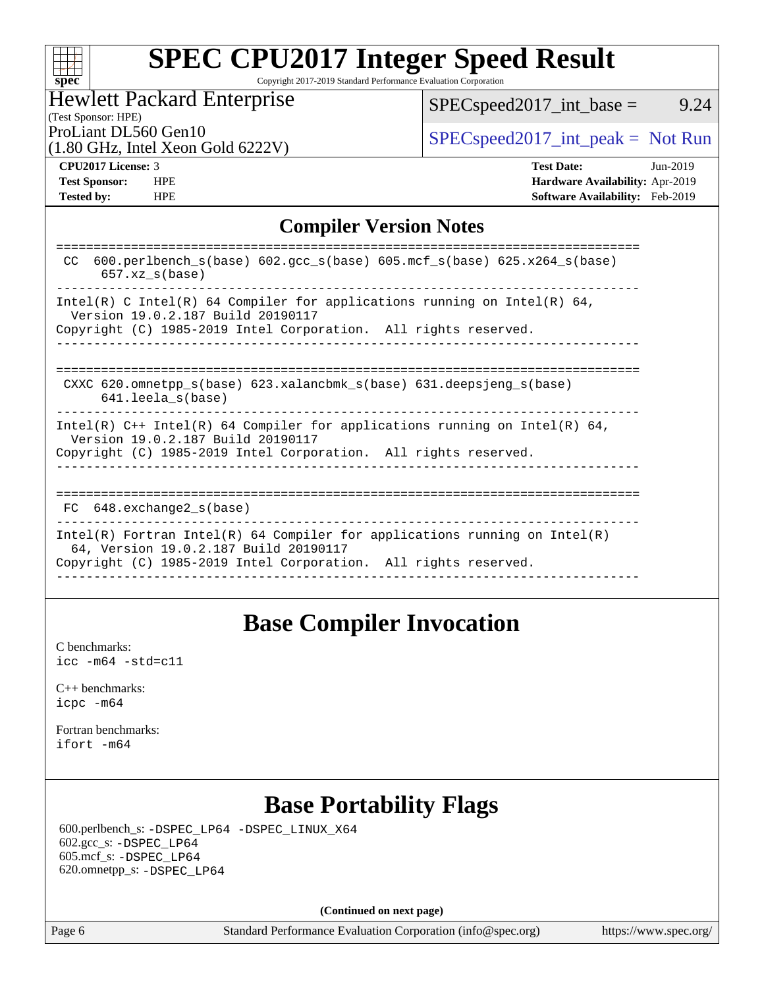| SI | DЕ |  |
|----|----|--|

Copyright 2017-2019 Standard Performance Evaluation Corporation

# Hewlett Packard Enterprise

 $SPEC speed2017\_int\_base =$  9.24

#### (Test Sponsor: HPE)

(1.80 GHz, Intel Xeon Gold 6222V)

ProLiant DL560 Gen10  $SPEC speed2017\_int\_peak = Not Run$ 

**[Tested by:](http://www.spec.org/auto/cpu2017/Docs/result-fields.html#Testedby)** HPE **[Software Availability:](http://www.spec.org/auto/cpu2017/Docs/result-fields.html#SoftwareAvailability)** Feb-2019

**[CPU2017 License:](http://www.spec.org/auto/cpu2017/Docs/result-fields.html#CPU2017License)** 3 **[Test Date:](http://www.spec.org/auto/cpu2017/Docs/result-fields.html#TestDate)** Jun-2019 **[Test Sponsor:](http://www.spec.org/auto/cpu2017/Docs/result-fields.html#TestSponsor)** HPE **[Hardware Availability:](http://www.spec.org/auto/cpu2017/Docs/result-fields.html#HardwareAvailability)** Apr-2019

## **[Compiler Version Notes](http://www.spec.org/auto/cpu2017/Docs/result-fields.html#CompilerVersionNotes)**

| 600.perlbench $s(base)$ 602.qcc $s(base)$ 605.mcf $s(base)$ 625.x264 $s(base)$<br>CC.<br>$657.xx$ s(base)                                                                              |
|----------------------------------------------------------------------------------------------------------------------------------------------------------------------------------------|
| Intel(R) C Intel(R) 64 Compiler for applications running on Intel(R) 64,<br>Version 19.0.2.187 Build 20190117<br>Copyright (C) 1985-2019 Intel Corporation. All rights reserved.       |
| CXXC 620.omnetpp $s(base)$ 623.xalancbmk $s(base)$ 631.deepsjeng $s(base)$<br>$641.$ leela $s(base)$                                                                                   |
| Intel(R) $C++$ Intel(R) 64 Compiler for applications running on Intel(R) 64,<br>Version 19.0.2.187 Build 20190117<br>Copyright (C) 1985-2019 Intel Corporation. All rights reserved.   |
| 648.exchange2 s(base)<br>FC.                                                                                                                                                           |
| Intel(R) Fortran Intel(R) 64 Compiler for applications running on Intel(R)<br>64, Version 19.0.2.187 Build 20190117<br>Copyright (C) 1985-2019 Intel Corporation. All rights reserved. |

# **[Base Compiler Invocation](http://www.spec.org/auto/cpu2017/Docs/result-fields.html#BaseCompilerInvocation)**

[C benchmarks](http://www.spec.org/auto/cpu2017/Docs/result-fields.html#Cbenchmarks): [icc -m64 -std=c11](http://www.spec.org/cpu2017/results/res2019q3/cpu2017-20190625-15710.flags.html#user_CCbase_intel_icc_64bit_c11_33ee0cdaae7deeeab2a9725423ba97205ce30f63b9926c2519791662299b76a0318f32ddfffdc46587804de3178b4f9328c46fa7c2b0cd779d7a61945c91cd35)

[C++ benchmarks:](http://www.spec.org/auto/cpu2017/Docs/result-fields.html#CXXbenchmarks) [icpc -m64](http://www.spec.org/cpu2017/results/res2019q3/cpu2017-20190625-15710.flags.html#user_CXXbase_intel_icpc_64bit_4ecb2543ae3f1412ef961e0650ca070fec7b7afdcd6ed48761b84423119d1bf6bdf5cad15b44d48e7256388bc77273b966e5eb805aefd121eb22e9299b2ec9d9)

[Fortran benchmarks](http://www.spec.org/auto/cpu2017/Docs/result-fields.html#Fortranbenchmarks): [ifort -m64](http://www.spec.org/cpu2017/results/res2019q3/cpu2017-20190625-15710.flags.html#user_FCbase_intel_ifort_64bit_24f2bb282fbaeffd6157abe4f878425411749daecae9a33200eee2bee2fe76f3b89351d69a8130dd5949958ce389cf37ff59a95e7a40d588e8d3a57e0c3fd751)

# **[Base Portability Flags](http://www.spec.org/auto/cpu2017/Docs/result-fields.html#BasePortabilityFlags)**

 600.perlbench\_s: [-DSPEC\\_LP64](http://www.spec.org/cpu2017/results/res2019q3/cpu2017-20190625-15710.flags.html#b600.perlbench_s_basePORTABILITY_DSPEC_LP64) [-DSPEC\\_LINUX\\_X64](http://www.spec.org/cpu2017/results/res2019q3/cpu2017-20190625-15710.flags.html#b600.perlbench_s_baseCPORTABILITY_DSPEC_LINUX_X64) 602.gcc\_s: [-DSPEC\\_LP64](http://www.spec.org/cpu2017/results/res2019q3/cpu2017-20190625-15710.flags.html#suite_basePORTABILITY602_gcc_s_DSPEC_LP64) 605.mcf\_s: [-DSPEC\\_LP64](http://www.spec.org/cpu2017/results/res2019q3/cpu2017-20190625-15710.flags.html#suite_basePORTABILITY605_mcf_s_DSPEC_LP64) 620.omnetpp\_s: [-DSPEC\\_LP64](http://www.spec.org/cpu2017/results/res2019q3/cpu2017-20190625-15710.flags.html#suite_basePORTABILITY620_omnetpp_s_DSPEC_LP64)

**(Continued on next page)**

Page 6 Standard Performance Evaluation Corporation [\(info@spec.org\)](mailto:info@spec.org) <https://www.spec.org/>